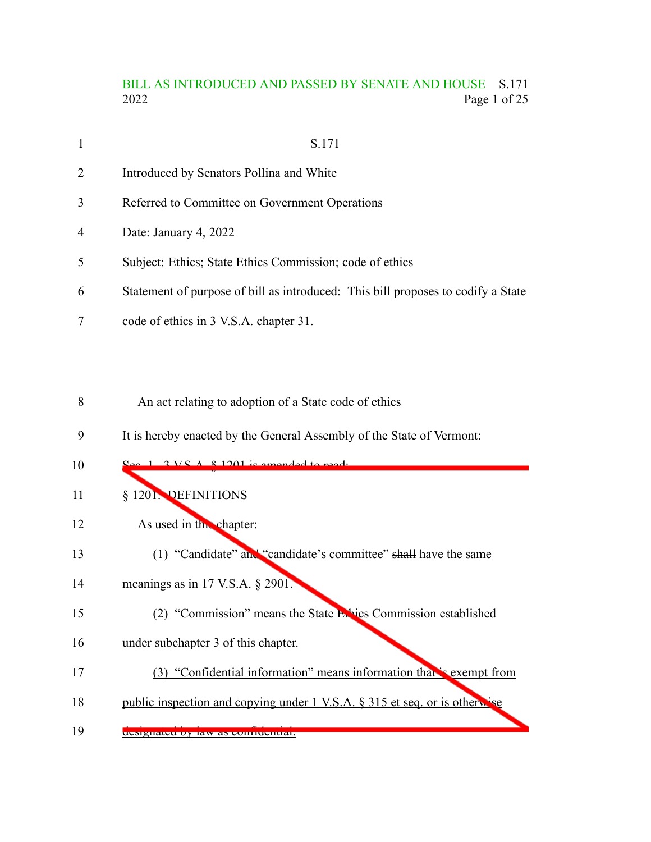## BILL AS INTRODUCED AND PASSED BY SENATE AND HOUSE S.171<br>2022 Page 1 of 25 Page 1 of 25

| $\mathbf{1}$   | S.171                                                                            |
|----------------|----------------------------------------------------------------------------------|
| $\overline{2}$ | Introduced by Senators Pollina and White                                         |
| 3              | Referred to Committee on Government Operations                                   |
| 4              | Date: January 4, 2022                                                            |
| 5              | Subject: Ethics; State Ethics Commission; code of ethics                         |
| 6              | Statement of purpose of bill as introduced: This bill proposes to codify a State |
|                | code of ethics in 3 V.S.A. chapter 31.                                           |

An act relating to adoption of a State code of ethics 8

It is hereby enacted by the General Assembly of the State of Vermont: 9

| 10 | $2 V C A 8 1201$ is amended to read.                                       |
|----|----------------------------------------------------------------------------|
| 11 | § 1201. DEFINITIONS                                                        |
| 12 | As used in the chapter:                                                    |
| 13 | (1) "Candidate" and "candidate's committee" shall have the same            |
| 14 | meanings as in 17 V.S.A. $\S$ 2901.                                        |
| 15 | (2) "Commission" means the State Ethics Commission established             |
| 16 | under subchapter 3 of this chapter.                                        |
| 17 | (3) "Confidential information" means information that is exempt from       |
| 18 | public inspection and copying under 1 V.S.A. § 315 et seq. or is otherwise |
| 19 | designated by law as contructitial.                                        |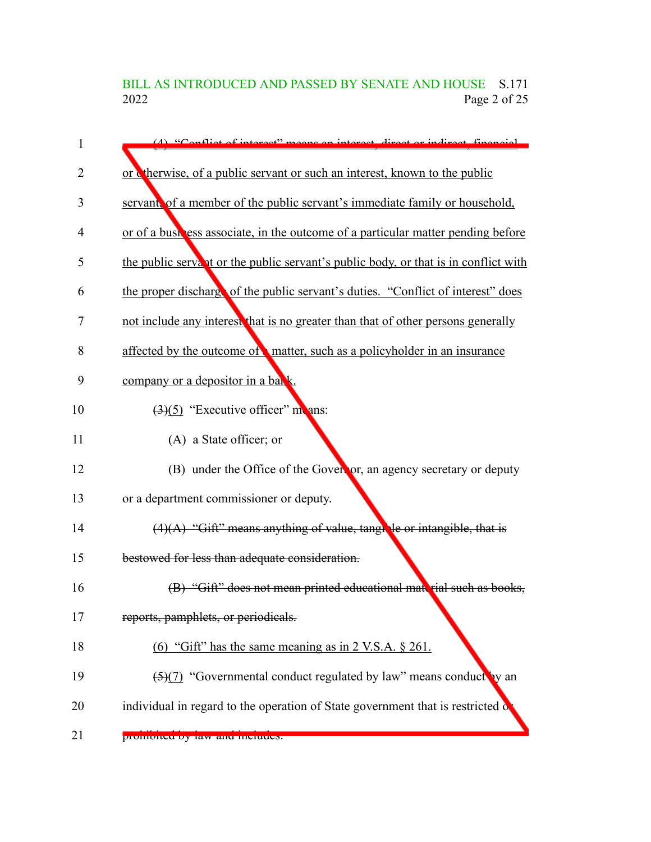BILL AS INTRODUCED AND PASSED BY SENATE AND HOUSE S.171<br>2022 Page 2 of 25 Page 2 of 25

| 1  | $(4)$ "Conflict of interact" means an interact direct or indirect financial         |
|----|-------------------------------------------------------------------------------------|
| 2  | or cherwise, of a public servant or such an interest, known to the public           |
| 3  | servant, of a member of the public servant's immediate family or household,         |
| 4  | or of a bush ess associate, in the outcome of a particular matter pending before    |
| 5  | the public servant or the public servant's public body, or that is in conflict with |
| 6  | the proper discharge of the public servant's duties. "Conflict of interest" does    |
| 7  | not include any interest that is no greater than that of other persons generally    |
| 8  | affected by the outcome of matter, such as a policyholder in an insurance           |
| 9  | company or a depositor in a bank.                                                   |
| 10 | $\left(\frac{3}{5}\right)$ "Executive officer" monomers:                            |
| 11 | (A) a State officer; or                                                             |
| 12 | (B) under the Office of the Governor, an agency secretary or deputy                 |
| 13 | or a department commissioner or deputy.                                             |
| 14 | $(4)(A)$ "Gift" means anything of value, tangle or intangible, that is              |
| 15 | bestowed for less than adequate consideration.                                      |
| 16 | (B) "Gift" does not mean printed educational material such as books,                |
| 17 | reports, pamphlets, or periodicals.                                                 |
| 18 | (6) "Gift" has the same meaning as in $2$ V.S.A. $\S$ 261.                          |
| 19 | $\frac{5(7)}{2}$ "Governmental conduct regulated by law" means conduct by an        |
| 20 | individual in regard to the operation of State government that is restricted of     |
| 21 | promoneu oy raw and merudes.                                                        |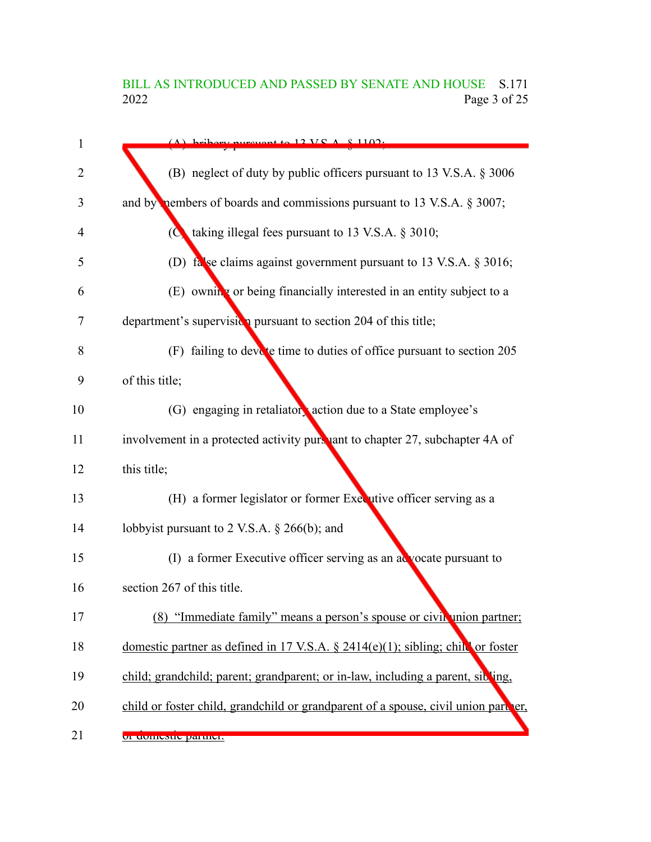# BILL AS INTRODUCED AND PASSED BY SENATE AND HOUSE S.171<br>2022 Page 3 of 25 Page 3 of 25

|             | $(A)$ bribary nurguant to 12 VC $A \times 1102$ .                                  |
|-------------|------------------------------------------------------------------------------------|
|             | (B) neglect of duty by public officers pursuant to 13 V.S.A. § 3006                |
|             | and by nembers of boards and commissions pursuant to 13 V.S.A. § 3007;             |
|             | ( $\bullet$ taking illegal fees pursuant to 13 V.S.A. § 3010;                      |
|             | (D) false claims against government pursuant to 13 V.S.A. § 3016;                  |
|             | (E) owning or being financially interested in an entity subject to a               |
|             | department's supervision pursuant to section 204 of this title;                    |
|             | (F) failing to devote time to duties of office pursuant to section 205             |
|             | of this title;                                                                     |
|             | (G) engaging in retaliatory action due to a State employee's                       |
|             | involvement in a protected activity pursuant to chapter 27, subchapter 4A of       |
| this title; |                                                                                    |
|             | (H) a former legislator or former Executive officer serving as a                   |
|             | lobbyist pursuant to 2 V.S.A. $\S$ 266(b); and                                     |
|             | (I) a former Executive officer serving as an acvocate pursuant to                  |
|             | section 267 of this title.                                                         |
|             | (8) "Immediate family" means a person's spouse or civil union partner;             |
|             | domestic partner as defined in 17 V.S.A. $\S$ 2414(e)(1); sibling; child or foster |
|             | child; grandchild; parent; grandparent; or in-law, including a parent, sibling,    |
|             | child or foster child, grandchild or grandparent of a spouse, civil union part er, |
|             | or uoniesue partier.                                                               |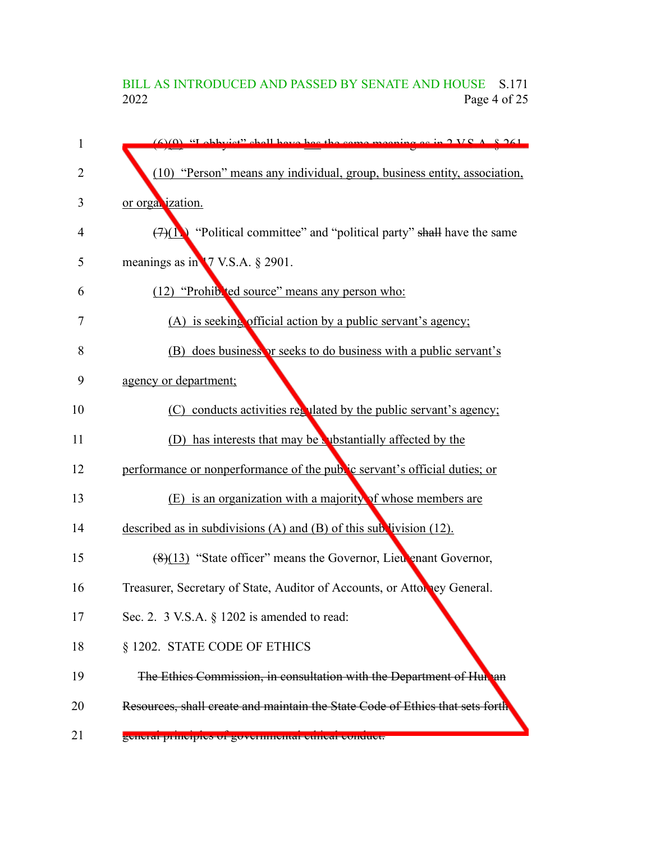## BILL AS INTRODUCED AND PASSED BY SENATE AND HOUSE S.171<br>2022 Page 4 of 25 Page 4 of 25

| $\mathbf{1}$ | $(6)(0)$ "I obbyist" shall have bee the same meaning as in $2 V_S A$ , $8.261$ |
|--------------|--------------------------------------------------------------------------------|
| 2            | (10) "Person" means any individual, group, business entity, association,       |
| 3            | or organization.                                                               |
| 4            | $(7)(1)$ "Political committee" and "political party" shall have the same       |
| 5            | meanings as in 17 V.S.A. § 2901.                                               |
| 6            | (12) "Prohib 'ed source" means any person who:                                 |
| 7            | (A) is seeking official action by a public servant's agency;                   |
| 8            | (B) does business or seeks to do business with a public servant's              |
| 9            | agency or department;                                                          |
| 10           | (C) conducts activities regulated by the public servant's agency;              |
| 11           | (D) has interests that may be vibstantially affected by the                    |
| 12           | performance or nonperformance of the public servant's official duties; or      |
| 13           | (E) is an organization with a majority of whose members are                    |
| 14           | described as in subdivisions (A) and (B) of this subdivision $(12)$ .          |
| 15           | $(8)(13)$ "State officer" means the Governor, Lieu enant Governor,             |
| 16           | Treasurer, Secretary of State, Auditor of Accounts, or Attorney General.       |
| 17           | Sec. 2. $3$ V.S.A. $\S$ 1202 is amended to read:                               |
| 18           | § 1202. STATE CODE OF ETHICS                                                   |
| 19           | The Ethics Commission, in consultation with the Department of Hun an           |
| 20           | Resources, shall create and maintain the State Code of Ethics that sets forth  |
| 21           | general principies or governmental cuneal conquet.                             |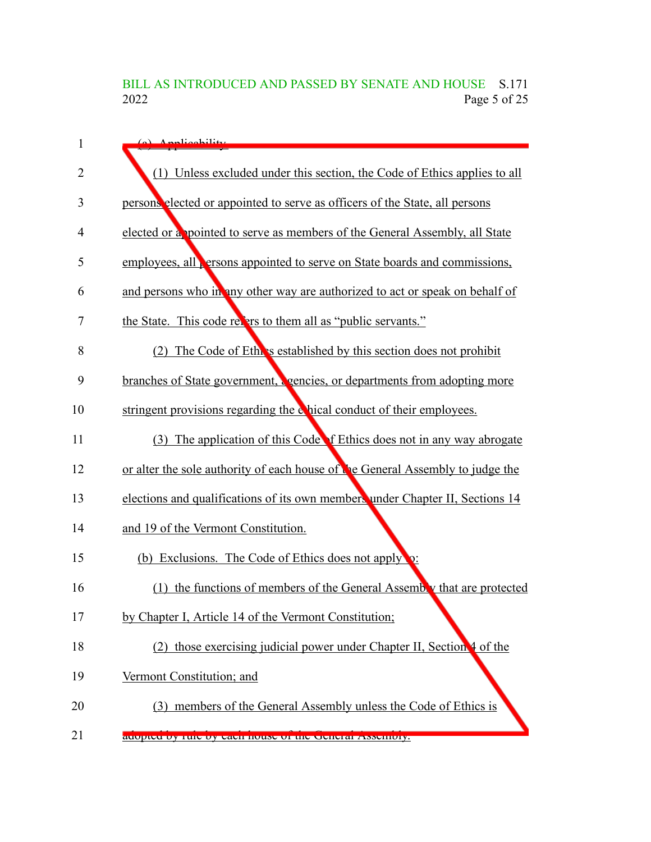# BILL AS INTRODUCED AND PASSED BY SENATE AND HOUSE S.171<br>2022 Page 5 of 25 Page 5 of 25

| 1              | (a) Applicability                                                                |
|----------------|----------------------------------------------------------------------------------|
| $\overline{2}$ | (1) Unless excluded under this section, the Code of Ethics applies to all        |
| 3              | persons elected or appointed to serve as officers of the State, all persons      |
| 4              | elected or a pointed to serve as members of the General Assembly, all State      |
| 5              | employees, all <b>ersons</b> appointed to serve on State boards and commissions, |
| 6              | and persons who in any other way are authorized to act or speak on behalf of     |
| 7              | the State. This code refers to them all as "public servants."                    |
| 8              | The Code of Ethers established by this section does not prohibit<br>(2)          |
| 9              | branches of State government, sencies, or departments from adopting more         |
| 10             | stringent provisions regarding the chical conduct of their employees.            |
| 11             | The application of this Code of Ethics does not in any way abrogate<br>(3)       |
| 12             | or alter the sole authority of each house of the General Assembly to judge the   |
| 13             | elections and qualifications of its own members under Chapter II, Sections 14    |
| 14             | and 19 of the Vermont Constitution.                                              |
| 15             | (b) Exclusions. The Code of Ethics does not apply                                |
| 16             | (1) the functions of members of the General Assembly that are protected          |
| 17             | by Chapter I, Article 14 of the Vermont Constitution;                            |
| 18             | (2) those exercising judicial power under Chapter II, Section 4 of the           |
| 19             | Vermont Constitution; and                                                        |
| 20             | (3) members of the General Assembly unless the Code of Ethics is                 |
| 21             | auopteu by ruie by each house of the deficial Assembly.                          |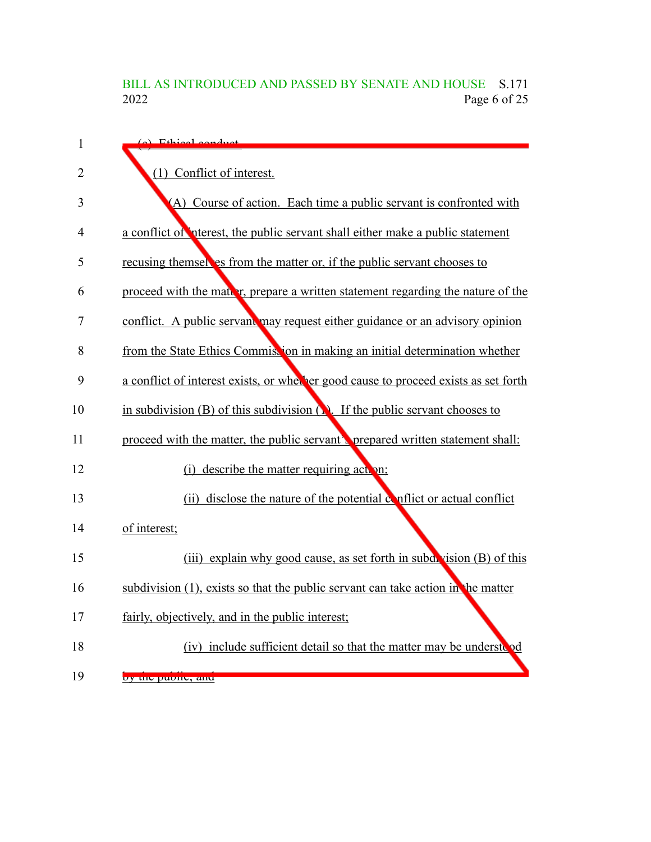# BILL AS INTRODUCED AND PASSED BY SENATE AND HOUSE S.171<br>2022 Page 6 of 25 Page 6 of 25

| 1              | (a) Ethical conduct                                                                      |
|----------------|------------------------------------------------------------------------------------------|
| $\overline{2}$ | (1) Conflict of interest.                                                                |
| 3              | (A) Course of action. Each time a public servant is confronted with                      |
| $\overline{4}$ | a conflict of interest, the public servant shall either make a public statement          |
| 5              | recusing themsel es from the matter or, if the public servant chooses to                 |
| 6              | proceed with the matter, prepare a written statement regarding the nature of the         |
| 7              | conflict. A public servant may request either guidance or an advisory opinion            |
| 8              | from the State Ethics Commission in making an initial determination whether              |
| 9              | a conflict of interest exists, or whether good cause to proceed exists as set forth      |
| 10             | in subdivision (B) of this subdivision $\binom{n}{k}$ . If the public servant chooses to |
| 11             | proceed with the matter, the public servant's prepared written statement shall:          |
| 12             | (i) describe the matter requiring action;                                                |
| 13             | (ii) disclose the nature of the potential conflict or actual conflict                    |
| 14             | of interest;                                                                             |
| 15             | (iii) explain why good cause, as set forth in subdivision (B) of this                    |
| 16             | subdivision $(1)$ , exists so that the public servant can take action in the matter      |
| 17             | fairly, objectively, and in the public interest;                                         |
| 18             | (iv) include sufficient detail so that the matter may be understood                      |
| 19             | by the public, and                                                                       |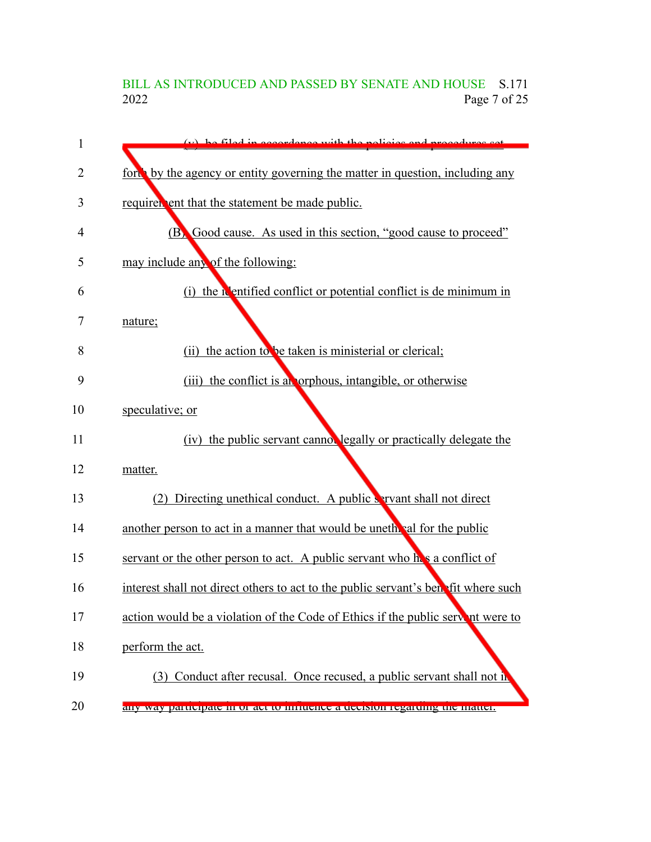## BILL AS INTRODUCED AND PASSED BY SENATE AND HOUSE S.171<br>2022 Page 7 of 25 Page 7 of 25

| 1  | (v) be filed in eccordance with the policies and procedures set                    |
|----|------------------------------------------------------------------------------------|
| 2  | ford by the agency or entity governing the matter in question, including any       |
| 3  | requirer ent that the statement be made public.                                    |
| 4  | (B) Good cause. As used in this section, "good cause to proceed"                   |
| 5  | may include any of the following:                                                  |
| 6  | (i) the <b>N</b> entified conflict or potential conflict is de minimum in          |
| 7  | nature;                                                                            |
| 8  | the action to be taken is ministerial or clerical;<br>(ii)                         |
| 9  | (iii) the conflict is an orphous, intangible, or otherwise                         |
| 10 | speculative; or                                                                    |
| 11 | (iv) the public servant cannot legally or practically delegate the                 |
| 12 | matter.                                                                            |
| 13 | Directing unethical conduct. A public servant shall not direct<br>(2)              |
| 14 | another person to act in a manner that would be unether all for the public         |
| 15 | servant or the other person to act. A public servant who he's a conflict of        |
| 16 | interest shall not direct others to act to the public servant's benefit where such |
| 17 | action would be a violation of the Code of Ethics if the public servent were to    |
| 18 | perform the act.                                                                   |
| 19 | (3) Conduct after recusal. Once recused, a public servant shall not in             |
| 20 | any way participate in or act to influence a uccision regarding the matter.        |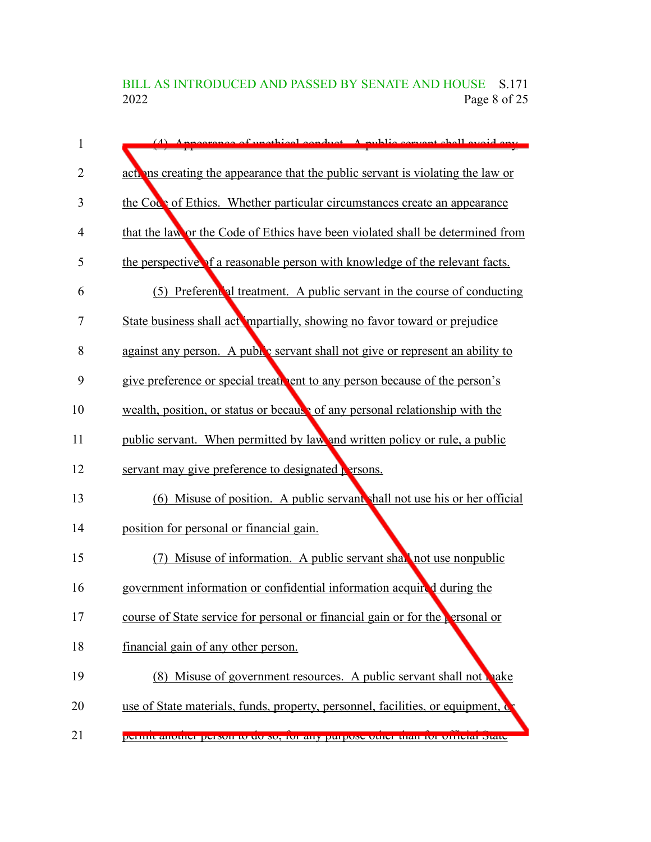BILL AS INTRODUCED AND PASSED BY SENATE AND HOUSE S.171<br>2022 Page 8 of 25 Page 8 of 25

| $\mathbf{1}$ | (4) Appearance of unothical conduct A public convent shall evoid ony                       |
|--------------|--------------------------------------------------------------------------------------------|
| 2            | action are actions creating the appearance that the public servant is violating the law or |
| 3            | the Code of Ethics. Whether particular circumstances create an appearance                  |
| 4            | that the law or the Code of Ethics have been violated shall be determined from             |
| 5            | the perspective of a reasonable person with knowledge of the relevant facts.               |
| 6            | (5) Preferent al treatment. A public servant in the course of conducting                   |
| 7            | State business shall act mpartially, showing no favor toward or prejudice                  |
| 8            | against any person. A public servant shall not give or represent an ability to             |
| 9            | give preference or special treativent to any person because of the person's                |
| 10           | wealth, position, or status or because of any personal relationship with the               |
| 11           | public servant. When permitted by law and written policy or rule, a public                 |
| 12           | servant may give preference to designated <b>P</b> rsons.                                  |
| 13           | (6) Misuse of position. A public servant shall not use his or her official                 |
| 14           | position for personal or financial gain.                                                   |
| 15           | (7) Misuse of information. A public servant shall not use nonpublic                        |
| 16           | government information or confidential information acquired during the                     |
| 17           | course of State service for personal or financial gain or for the $\epsilon$ ersonal or    |
| 18           | financial gain of any other person.                                                        |
| 19           | (8) Misuse of government resources. A public servant shall not make                        |
| 20           | use of State materials, funds, property, personnel, facilities, or equipment, of           |
| 21           | permit another person to do so, for any purpose other than for orticial state              |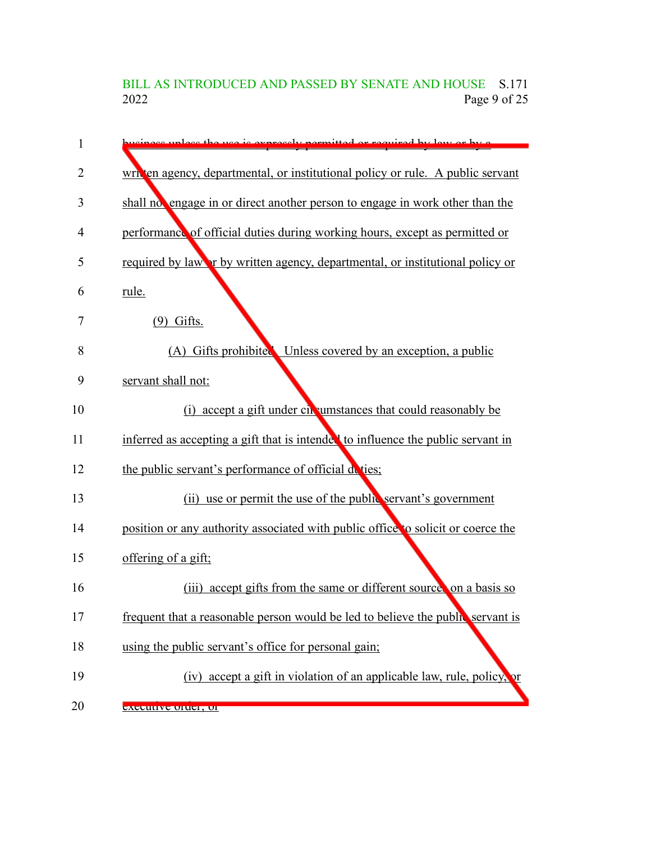BILL AS INTRODUCED AND PASSED BY SENATE AND HOUSE S.171<br>2022 Page 9 of 25 Page 9 of 25

| 1  | nece unless the use is expressly permitted or required by law or by a            |
|----|----------------------------------------------------------------------------------|
| 2  | written agency, departmental, or institutional policy or rule. A public servant  |
| 3  | shall no engage in or direct another person to engage in work other than the     |
| 4  | performance of official duties during working hours, except as permitted or      |
| 5  | required by law or by written agency, departmental, or institutional policy or   |
| 6  | rule.                                                                            |
| 7  | $(9)$ Gifts.                                                                     |
| 8  | (A) Gifts prohibited Unless covered by an exception, a public                    |
| 9  | servant shall not:                                                               |
| 10 | (i) accept a gift under circumstances that could reasonably be                   |
| 11 | inferred as accepting a gift that is intended to influence the public servant in |
| 12 | the public servant's performance of official deties;                             |
| 13 | (ii) use or permit the use of the public servant's government                    |
| 14 | position or any authority associated with public office to solicit or coerce the |
| 15 | offering of a gift;                                                              |
| 16 | accept gifts from the same or different source on a basis so<br>(iii)            |
| 17 | frequent that a reasonable person would be led to believe the public servant is  |
| 18 | using the public servant's office for personal gain;                             |
| 19 | (iv) accept a gift in violation of an applicable law, rule, policy, or           |
| 20 | <del>executive order, or</del>                                                   |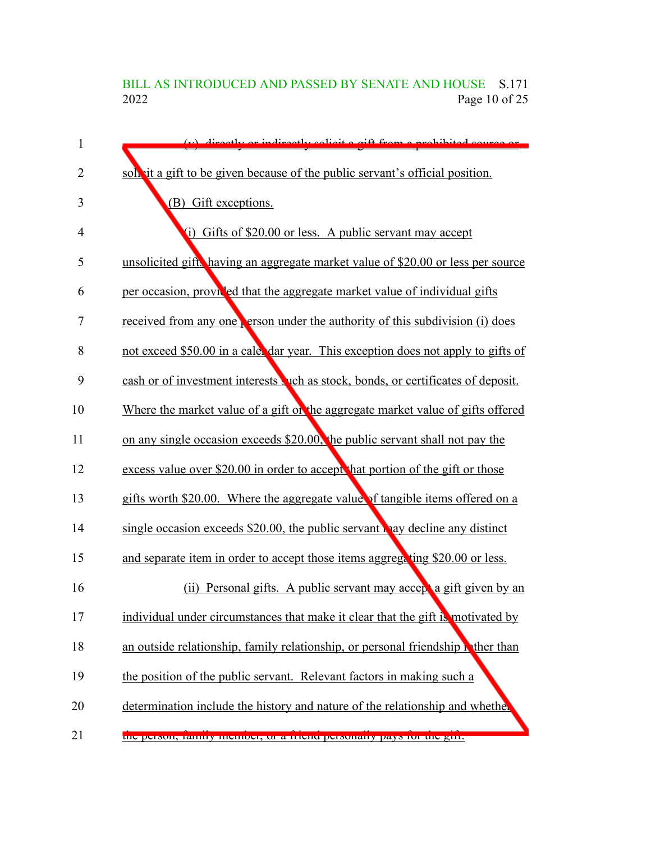## BILL AS INTRODUCED AND PASSED BY SENATE AND HOUSE S.171<br>2022 Page 10 of 25 Page 10 of 25

| $\mathbf{1}$ | (y) directly or indirectly solicit a gift from a prohibited source or             |
|--------------|-----------------------------------------------------------------------------------|
| 2            | solvit a gift to be given because of the public servant's official position.      |
| 3            | (B) Gift exceptions.                                                              |
| 4            | (i)<br>Gifts of \$20.00 or less. A public servant may accept                      |
| 5            | unsolicited gift, having an aggregate market value of \$20.00 or less per source  |
| 6            | per occasion, provided that the aggregate market value of individual gifts        |
| 7            | received from any one person under the authority of this subdivision (i) does     |
| 8            | not exceed \$50.00 in a cale dar year. This exception does not apply to gifts of  |
| 9            | cash or of investment interests wich as stock, bonds, or certificates of deposit. |
| 10           | Where the market value of a gift on the aggregate market value of gifts offered   |
| 11           | on any single occasion exceeds \$20.00, the public servant shall not pay the      |
| 12           | excess value over \$20.00 in order to accept that portion of the gift or those    |
| 13           | gifts worth \$20.00. Where the aggregate value of tangible items offered on a     |
| 14           | single occasion exceeds \$20.00, the public servant hay decline any distinct      |
| 15           | and separate item in order to accept those items aggregating \$20.00 or less.     |
| 16           | Personal gifts. A public servant may accept a gift given by an<br>(ii)            |
| 17           | individual under circumstances that make it clear that the gift is motivated by   |
| 18           | an outside relationship, family relationship, or personal friendship wither than  |
| 19           | the position of the public servant. Relevant factors in making such a             |
| 20           | determination include the history and nature of the relationship and whether      |
| 21           | tue person, rannry memoer, or a menu personany pays for the gift.                 |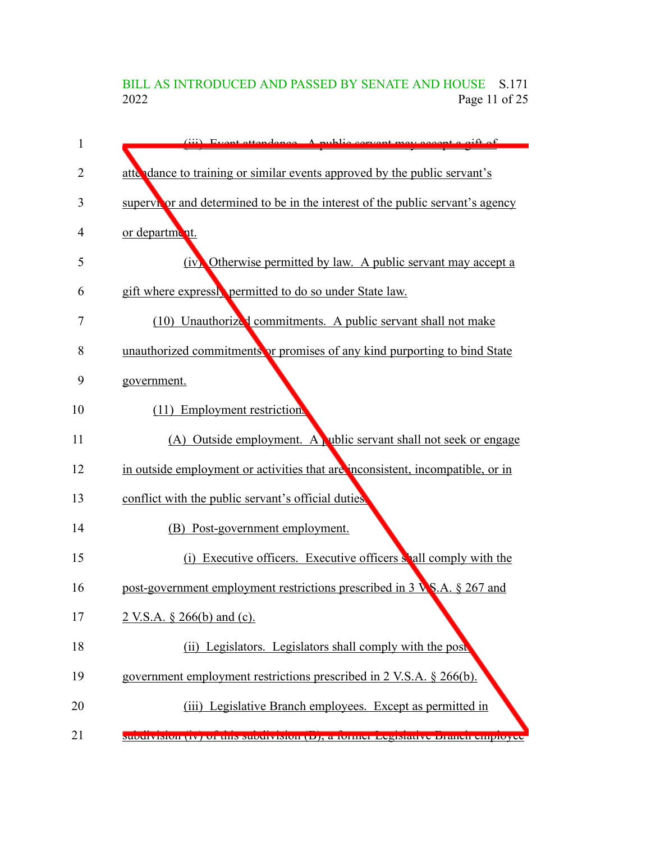## BILL AS INTRODUCED AND PASSED BY SENATE AND HOUSE S.171<br>2022 Page 11 of 25 Page 11 of 25

| $\mathbf{1}$   | (iii) Event ettendance A public convent may accept a gift of                   |
|----------------|--------------------------------------------------------------------------------|
| $\overline{2}$ | atte dance to training or similar events approved by the public servant's      |
| 3              | supervivor and determined to be in the interest of the public servant's agency |
| 4              | or department.                                                                 |
| 5              | (iv) Otherwise permitted by law. A public servant may accept a                 |
| 6              | gift where expressly permitted to do so under State law.                       |
| 7              | (10) Unauthorized commitments. A public servant shall not make                 |
| 8              | unauthorized commitments or promises of any kind purporting to bind State      |
| 9              | government.                                                                    |
| 10             | (11) Employment restriction.                                                   |
| 11             | (A) Outside employment. A ublic servant shall not seek or engage               |
| 12             | in outside employment or activities that are inconsistent, incompatible, or in |
| 13             | conflict with the public servant's official duties.                            |
| 14             | (B) Post-government employment.                                                |
| 15             | (i) Executive officers. Executive officers shall comply with the               |
| 16             | post-government employment restrictions prescribed in 3 <b>NS.A.</b> § 267 and |
| 17             | 2 V.S.A. § 266(b) and (c).                                                     |
| 18             | (ii) Legislators. Legislators shall comply with the post                       |
| 19             | government employment restrictions prescribed in 2 V.S.A. § 266(b).            |
| 20             | (iii) Legislative Branch employees. Except as permitted in                     |
| 21             | supurvision (IV) of this supurvision (D), a former Legislative Drahen employee |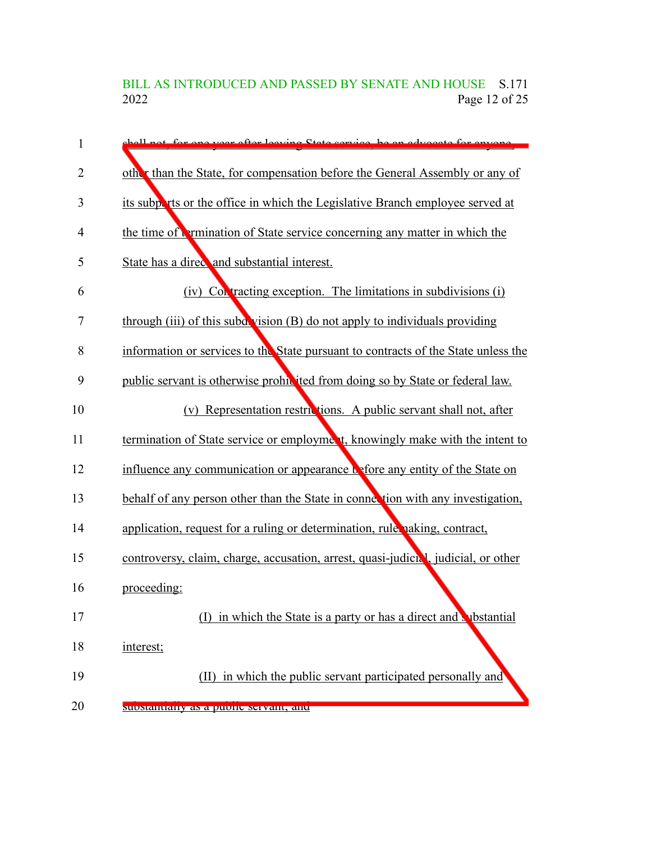BILL AS INTRODUCED AND PASSED BY SENATE AND HOUSE S.171<br>2022 Page 12 of 25 Page 12 of 25

| 1              | shell not for one year after leaving State service, he an advocate for envence     |
|----------------|------------------------------------------------------------------------------------|
| $\overline{2}$ | other than the State, for compensation before the General Assembly or any of       |
| 3              | its subports or the office in which the Legislative Branch employee served at      |
| 4              | the time of <b>Permination</b> of State service concerning any matter in which the |
| 5              | State has a direct and substantial interest.                                       |
| 6              | (iv) Contracting exception. The limitations in subdivisions (i)                    |
| 7              | through (iii) of this subd vision (B) do not apply to individuals providing        |
| 8              | information or services to the State pursuant to contracts of the State unless the |
| 9              | public servant is otherwise prohibited from doing so by State or federal law.      |
| 10             | (v) Representation restrictions. A public servant shall not, after                 |
| 11             | termination of State service or employment, knowingly make with the intent to      |
| 12             | influence any communication or appearance to efore any entity of the State on      |
| 13             | behalf of any person other than the State in connection with any investigation,    |
| 14             | application, request for a ruling or determination, rule naking, contract,         |
| 15             | controversy, claim, charge, accusation, arrest, quasi-judicial, judicial, or other |
| 16             | proceeding:                                                                        |
| 17             | in which the State is a party or has a direct and substantial                      |
| 18             | interest;                                                                          |
| 19             | (II) in which the public servant participated personally and                       |
| 20             | suostantiany as a puone servant, and                                               |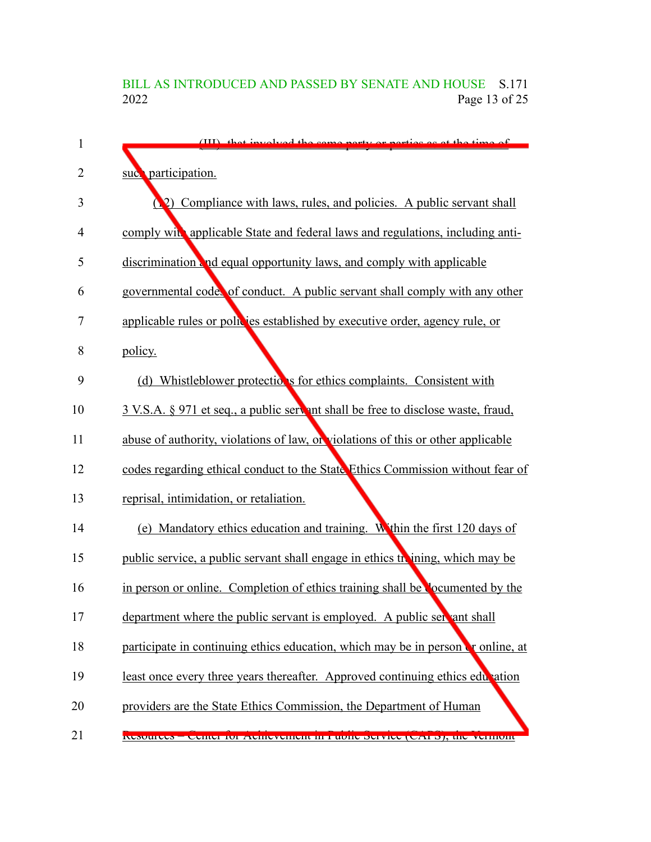# BILL AS INTRODUCED AND PASSED BY SENATE AND HOUSE S.171<br>2022 Page 13 of 25 Page 13 of 25

| 1              | (III) that involved the came party or parties as at the time of                    |
|----------------|------------------------------------------------------------------------------------|
| $\overline{2}$ | suc <sup>o</sup> participation.                                                    |
| 3              | 2) Compliance with laws, rules, and policies. A public servant shall               |
| 4              | comply with applicable State and federal laws and regulations, including anti-     |
| 5              | discrimination and equal opportunity laws, and comply with applicable              |
| 6              | governmental code, of conduct. A public servant shall comply with any other        |
| 7              | applicable rules or policies established by executive order, agency rule, or       |
| 8              | policy.                                                                            |
| 9              | (d) Whistleblower protections for ethics complaints. Consistent with               |
| 10             | 3 V.S.A. § 971 et seq., a public servent shall be free to disclose waste, fraud,   |
| 11             | abuse of authority, violations of law, or violations of this or other applicable   |
| 12             | codes regarding ethical conduct to the State Ethics Commission without fear of     |
| 13             | reprisal, intimidation, or retaliation.                                            |
| 14             | (e) Mandatory ethics education and training. Within the first 120 days of          |
| 15             | public service, a public servant shall engage in ethics the ining, which may be    |
| 16             | in person or online. Completion of ethics training shall be <b>Complete</b> by the |
| 17             | department where the public servant is employed. A public servant shall            |
| 18             | participate in continuing ethics education, which may be in person or online, at   |
| 19             | least once every three years thereafter. Approved continuing ethics education      |
| 20             | providers are the State Ethics Commission, the Department of Human                 |
| 21             | Resources – Center for Achievement in Fuone Service (CATS), the vermont            |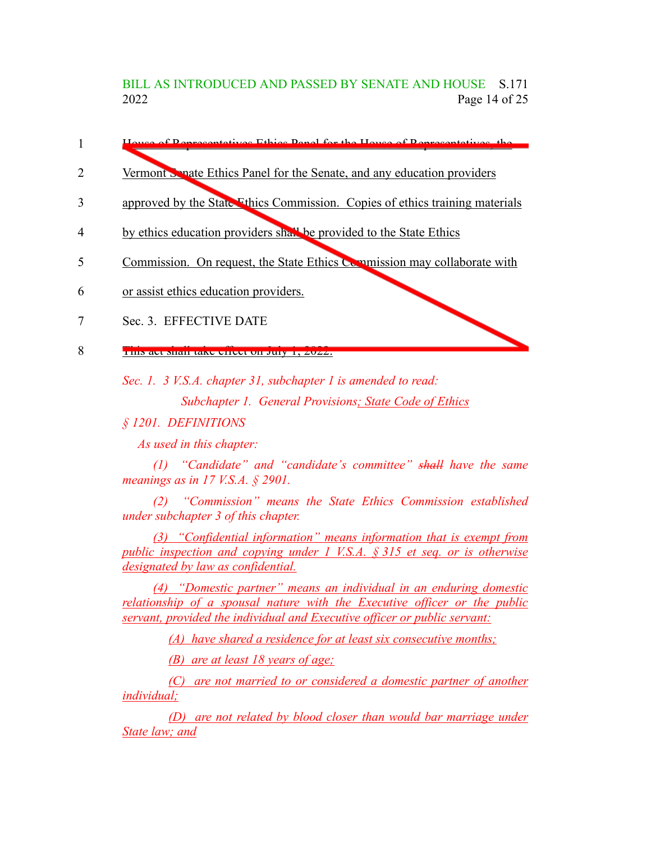BILL AS INTRODUCED AND PASSED BY SENATE AND HOUSE S.171 2022 Page 14 of 25

- of Penresentatives Ethics Panel for the House of Penresentatives, the 1
- Vermont Senate Ethics Panel for the Senate, and any education providers 2
- approved by the State Ethics Commission. Copies of ethics training materials 3
- by ethics education providers shall be provided to the State Ethics 4
- Commission. On request, the State Ethics Commission may collaborate with 5
- or assist ethics education providers. 6
- Sec. 3. EFFECTIVE DATE 7
- THIS act shall take effect on July 1, 2022. 8

*Sec. 1. 3 V.S.A. chapter 31, subchapter 1 is amended to read:*

*Subchapter 1. General Provisions; State Code of Ethics*

*§ 1201. DEFINITIONS*

*As used in this chapter:*

*(1) "Candidate" and "candidate's committee" shall have the same meanings as in 17 V.S.A. § 2901.*

*(2) "Commission" means the State Ethics Commission established under subchapter 3 of this chapter.*

*(3) "Confidential information" means information that is exempt from public inspection and copying under 1 V.S.A. § 315 et seq. or is otherwise designated by law as confidential.*

*(4) "Domestic partner" means an individual in an enduring domestic relationship of a spousal nature with the Executive officer or the public servant, provided the individual and Executive officer or public servant:*

*(A) have shared a residence for at least six consecutive months;*

*(B) are at least 18 years of age;*

*(C) are not married to or considered a domestic partner of another individual;*

*(D) are not related by blood closer than would bar marriage under State law; and*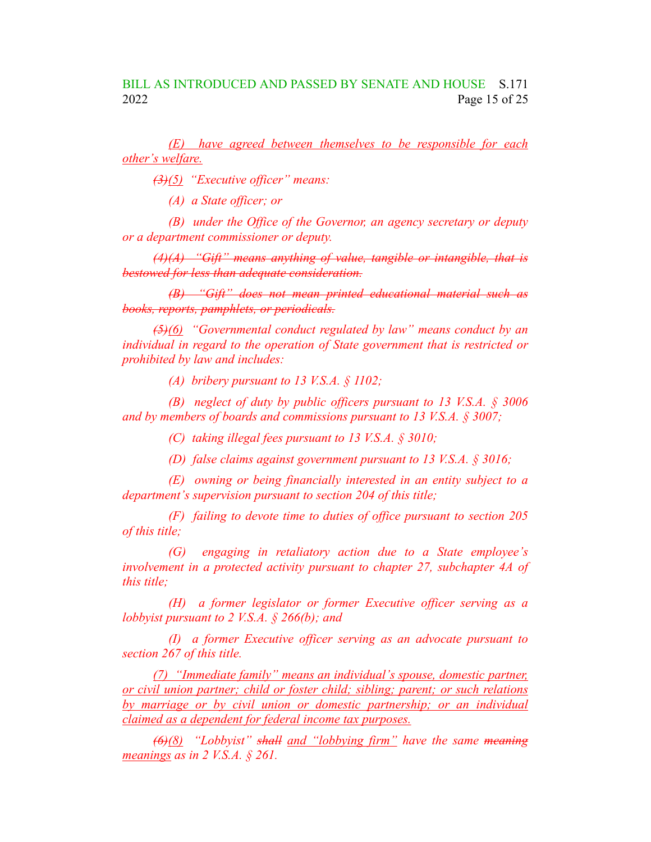*(E) have agreed between themselves to be responsible for each other's welfare.*

*(3)(5) "Executive officer" means:*

*(A) a State officer; or*

*(B) under the Office of the Governor, an agency secretary or deputy or a department commissioner or deputy.*

*(4)(A) "Gift" means anything of value, tangible or intangible, that is bestowed for less than adequate consideration.*

*(B) "Gift" does not mean printed educational material such as books, reports, pamphlets, or periodicals.*

*(5)(6) "Governmental conduct regulated by law" means conduct by an individual in regard to the operation of State government that is restricted or prohibited by law and includes:*

*(A) bribery pursuant to 13 V.S.A. § 1102;*

*(B) neglect of duty by public officers pursuant to 13 V.S.A. § 3006 and by members of boards and commissions pursuant to 13 V.S.A. § 3007;*

*(C) taking illegal fees pursuant to 13 V.S.A. § 3010;*

*(D) false claims against government pursuant to 13 V.S.A. § 3016;*

*(E) owning or being financially interested in an entity subject to a department's supervision pursuant to section 204 of this title;*

*(F) failing to devote time to duties of office pursuant to section 205 of this title;*

*(G) engaging in retaliatory action due to a State employee's involvement in a protected activity pursuant to chapter 27, subchapter 4A of this title;*

*(H) a former legislator or former Executive officer serving as a lobbyist pursuant to 2 V.S.A. § 266(b); and*

*(I) a former Executive officer serving as an advocate pursuant to section 267 of this title.*

*(7) "Immediate family" means an individual's spouse, domestic partner, or civil union partner; child or foster child; sibling; parent; or such relations by marriage or by civil union or domestic partnership; or an individual claimed as a dependent for federal income tax purposes.*

*(6)(8) "Lobbyist" shall and "lobbying firm" have the same meaning meanings as in 2 V.S.A. § 261.*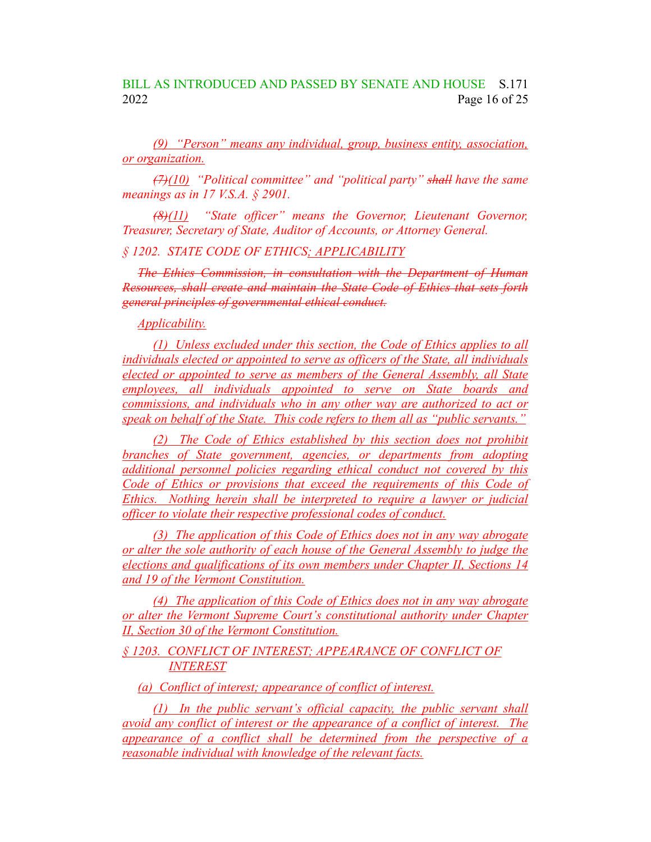### BILL AS INTRODUCED AND PASSED BY SENATE AND HOUSE S.171 2022 Page 16 of 25

*(9) "Person" means any individual, group, business entity, association, or organization.*

*(7)(10) "Political committee" and "political party" shall have the same meanings as in 17 V.S.A. § 2901.*

*(8)(11) "State officer" means the Governor, Lieutenant Governor, Treasurer, Secretary of State, Auditor of Accounts, or Attorney General.*

#### *§ 1202. STATE CODE OF ETHICS; APPLICABILITY*

*The Ethics Commission, in consultation with the Department of Human Resources, shall create and maintain the State Code of Ethics that sets forth general principles of governmental ethical conduct.*

### *Applicability.*

*(1) Unless excluded under this section, the Code of Ethics applies to all individuals elected or appointed to serve as officers of the State, all individuals elected or appointed to serve as members of the General Assembly, all State employees, all individuals appointed to serve on State boards and commissions, and individuals who in any other way are authorized to act or speak on behalf of the State. This code refers to them all as "public servants."*

*(2) The Code of Ethics established by this section does not prohibit branches of State government, agencies, or departments from adopting additional personnel policies regarding ethical conduct not covered by this Code of Ethics or provisions that exceed the requirements of this Code of Ethics. Nothing herein shall be interpreted to require a lawyer or judicial officer to violate their respective professional codes of conduct.*

*(3) The application of this Code of Ethics does not in any way abrogate or alter the sole authority of each house of the General Assembly to judge the elections and qualifications of its own members under Chapter II, Sections 14 and 19 of the Vermont Constitution.*

*(4) The application of this Code of Ethics does not in any way abrogate or alter the Vermont Supreme Court's constitutional authority under Chapter II, Section 30 of the Vermont Constitution.*

*§ 1203. CONFLICT OF INTEREST; APPEARANCE OF CONFLICT OF INTEREST*

*(a) Conflict of interest; appearance of conflict of interest.*

*(1) In the public servant's official capacity, the public servant shall avoid any conflict of interest or the appearance of a conflict of interest. The appearance of a conflict shall be determined from the perspective of a reasonable individual with knowledge of the relevant facts.*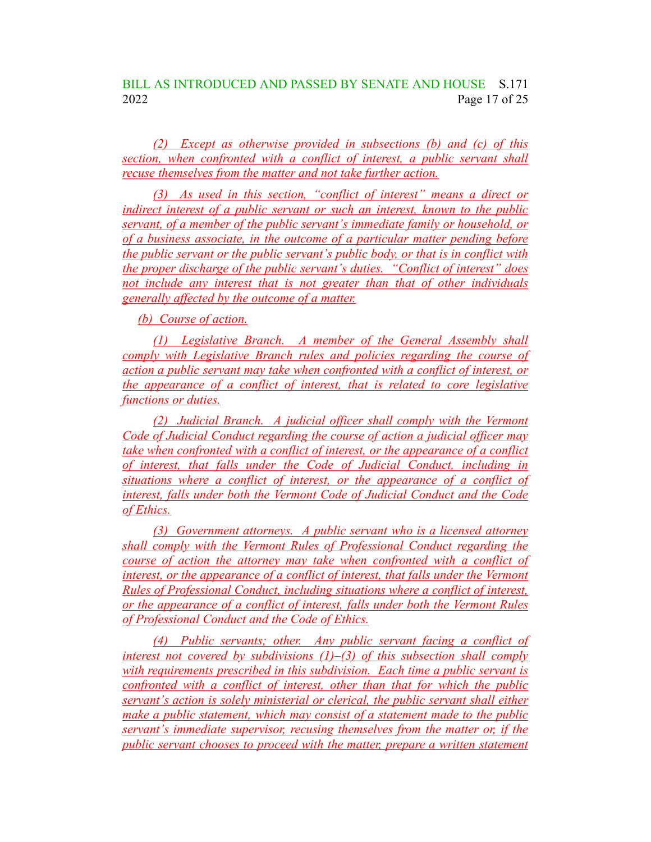*(2) Except as otherwise provided in subsections (b) and (c) of this section, when confronted with a conflict of interest, a public servant shall recuse themselves from the matter and not take further action.*

*(3) As used in this section, "conflict of interest" means a direct or indirect interest of a public servant or such an interest, known to the public servant, of a member of the public servant's immediate family or household, or of a business associate, in the outcome of a particular matter pending before the public servant or the public servant's public body, or that is in conflict with the proper discharge of the public servant's duties. "Conflict of interest" does not include any interest that is not greater than that of other individuals generally affected by the outcome of a matter.*

*(b) Course of action.*

*(1) Legislative Branch. A member of the General Assembly shall comply with Legislative Branch rules and policies regarding the course of action a public servant may take when confronted with a conflict of interest, or the appearance of a conflict of interest, that is related to core legislative functions or duties.*

*(2) Judicial Branch. A judicial officer shall comply with the Vermont Code of Judicial Conduct regarding the course of action a judicial officer may take when confronted with a conflict of interest, or the appearance of a conflict of interest, that falls under the Code of Judicial Conduct, including in situations where a conflict of interest, or the appearance of a conflict of interest, falls under both the Vermont Code of Judicial Conduct and the Code of Ethics.*

*(3) Government attorneys. A public servant who is a licensed attorney shall comply with the Vermont Rules of Professional Conduct regarding the course of action the attorney may take when confronted with a conflict of interest, or the appearance of a conflict of interest, that falls under the Vermont Rules of Professional Conduct, including situations where a conflict of interest, or the appearance of a conflict of interest, falls under both the Vermont Rules of Professional Conduct and the Code of Ethics.*

*(4) Public servants; other. Any public servant facing a conflict of interest not covered by subdivisions (1)–(3) of this subsection shall comply with requirements prescribed in this subdivision. Each time a public servant is confronted with a conflict of interest, other than that for which the public servant's action is solely ministerial or clerical, the public servant shall either make a public statement, which may consist of a statement made to the public servant's immediate supervisor, recusing themselves from the matter or, if the public servant chooses to proceed with the matter, prepare a written statement*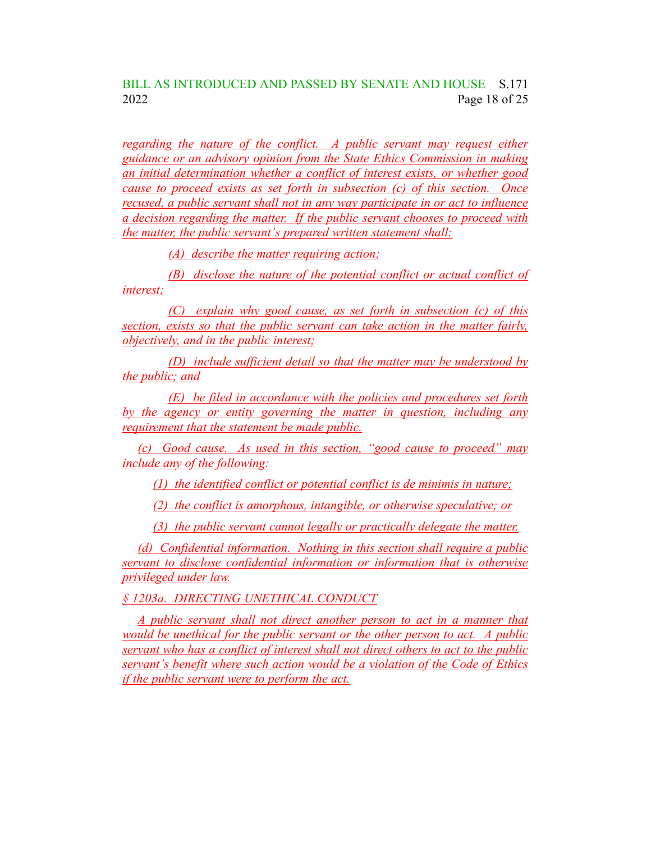### BILL AS INTRODUCED AND PASSED BY SENATE AND HOUSE S.171 2022 Page 18 of 25

*regarding the nature of the conflict. A public servant may request either guidance or an advisory opinion from the State Ethics Commission in making an initial determination whether a conflict of interest exists, or whether good cause to proceed exists as set forth in subsection (c) of this section. Once recused, a public servant shall not in any way participate in or act to influence a decision regarding the matter. If the public servant chooses to proceed with the matter, the public servant's prepared written statement shall:*

*(A) describe the matter requiring action;*

*(B) disclose the nature of the potential conflict or actual conflict of interest;*

*(C) explain why good cause, as set forth in subsection (c) of this section, exists so that the public servant can take action in the matter fairly, objectively, and in the public interest;*

*(D) include sufficient detail so that the matter may be understood by the public; and*

*(E) be filed in accordance with the policies and procedures set forth by the agency or entity governing the matter in question, including any requirement that the statement be made public.*

*(c) Good cause. As used in this section, "good cause to proceed" may include any of the following:*

*(1) the identified conflict or potential conflict is de minimis in nature;*

*(2) the conflict is amorphous, intangible, or otherwise speculative; or*

*(3) the public servant cannot legally or practically delegate the matter.*

*(d) Confidential information. Nothing in this section shall require a public servant to disclose confidential information or information that is otherwise privileged under law.*

*§ 1203a. DIRECTING UNETHICAL CONDUCT*

*A public servant shall not direct another person to act in a manner that would be unethical for the public servant or the other person to act. A public servant who has a conflict of interest shall not direct others to act to the public servant's benefit where such action would be a violation of the Code of Ethics if the public servant were to perform the act.*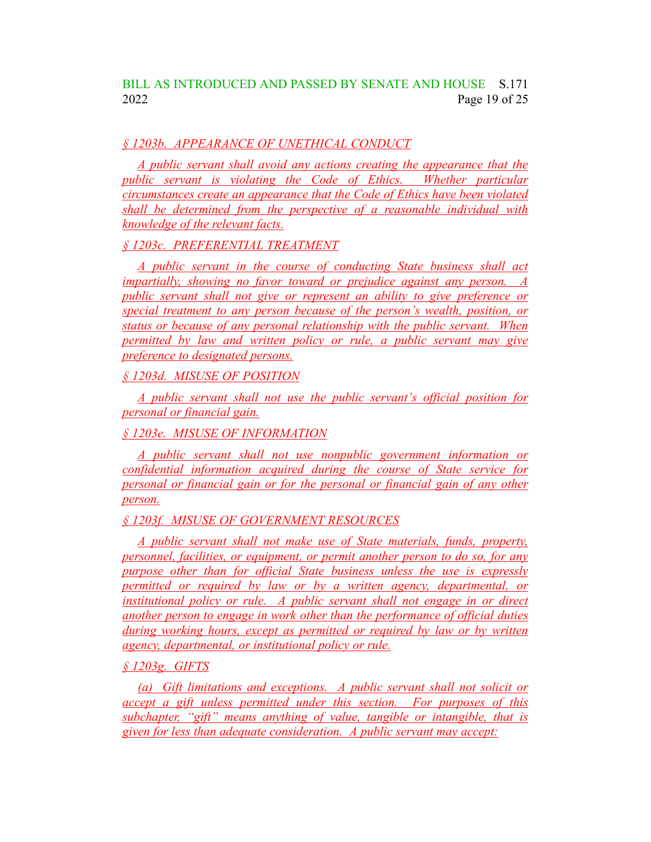### *§ 1203b. APPEARANCE OF UNETHICAL CONDUCT*

*A public servant shall avoid any actions creating the appearance that the public servant is violating the Code of Ethics. Whether particular circumstances create an appearance that the Code of Ethics have been violated shall be determined from the perspective of a reasonable individual with knowledge of the relevant facts.*

*§ 1203c. PREFERENTIAL TREATMENT*

*A public servant in the course of conducting State business shall act impartially, showing no favor toward or prejudice against any person. A public servant shall not give or represent an ability to give preference or special treatment to any person because of the person's wealth, position, or status or because of any personal relationship with the public servant. When permitted by law and written policy or rule, a public servant may give preference to designated persons.*

*§ 1203d. MISUSE OF POSITION*

*A public servant shall not use the public servant's official position for personal or financial gain.*

*§ 1203e. MISUSE OF INFORMATION*

*A public servant shall not use nonpublic government information or confidential information acquired during the course of State service for personal or financial gain or for the personal or financial gain of any other person.*

*§ 1203f. MISUSE OF GOVERNMENT RESOURCES*

*A public servant shall not make use of State materials, funds, property, personnel, facilities, or equipment, or permit another person to do so, for any purpose other than for official State business unless the use is expressly permitted or required by law or by a written agency, departmental, or institutional policy or rule. A public servant shall not engage in or direct another person to engage in work other than the performance of official duties during working hours, except as permitted or required by law or by written agency, departmental, or institutional policy or rule.*

*§ 1203g. GIFTS*

*(a) Gift limitations and exceptions. A public servant shall not solicit or accept a gift unless permitted under this section. For purposes of this subchapter, "gift" means anything of value, tangible or intangible, that is given for less than adequate consideration. A public servant may accept:*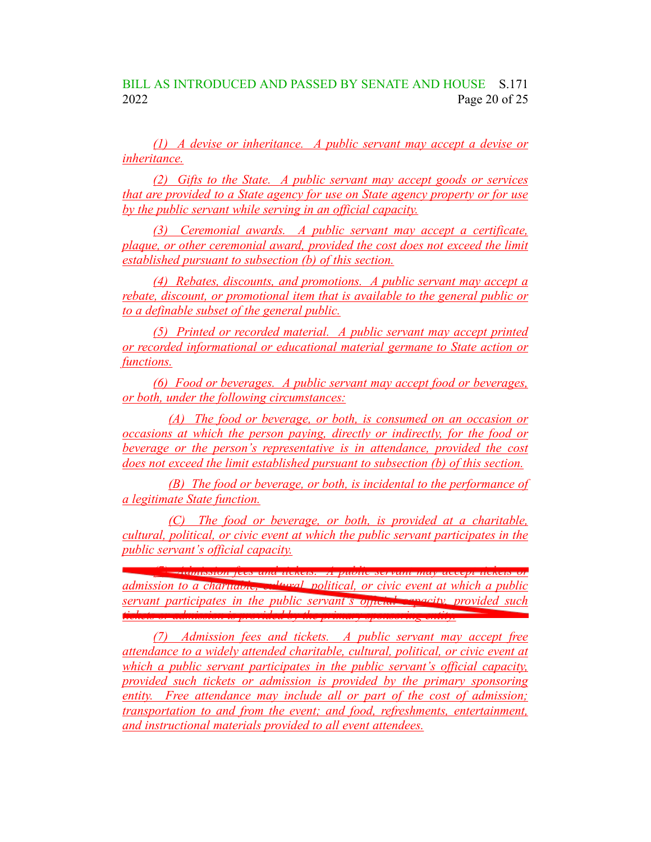*(1) A devise or inheritance. A public servant may accept a devise or inheritance.*

*(2) Gifts to the State. A public servant may accept goods or services that are provided to a State agency for use on State agency property or for use by the public servant while serving in an official capacity.*

*(3) Ceremonial awards. A public servant may accept a certificate, plaque, or other ceremonial award, provided the cost does not exceed the limit established pursuant to subsection (b) of this section.*

*(4) Rebates, discounts, and promotions. A public servant may accept a rebate, discount, or promotional item that is available to the general public or to a definable subset of the general public.*

*(5) Printed or recorded material. A public servant may accept printed or recorded informational or educational material germane to State action or functions.*

*(6) Food or beverages. A public servant may accept food or beverages, or both, under the following circumstances:*

*(A) The food or beverage, or both, is consumed on an occasion or occasions at which the person paying, directly or indirectly, for the food or beverage or the person's representative is in attendance, provided the cost does not exceed the limit established pursuant to subsection (b) of this section.*

*(B) The food or beverage, or both, is incidental to the performance of a legitimate State function.*

*(C) The food or beverage, or both, is provided at a charitable, cultural, political, or civic event at which the public servant participates in the public servant's official capacity.*

*(7) Admission fees and tickets. A public servant may accept tickets or admission to a charitable, cultural, political, or civic event at which a public servant participates in the public servant's official capacity, provided such tickets or admission is provided by the primary sponsoring entity.*

*(7) Admission fees and tickets. A public servant may accept free attendance to a widely attended charitable, cultural, political, or civic event at which a public servant participates in the public servant's official capacity, provided such tickets or admission is provided by the primary sponsoring entity. Free attendance may include all or part of the cost of admission; transportation to and from the event; and food, refreshments, entertainment, and instructional materials provided to all event attendees.*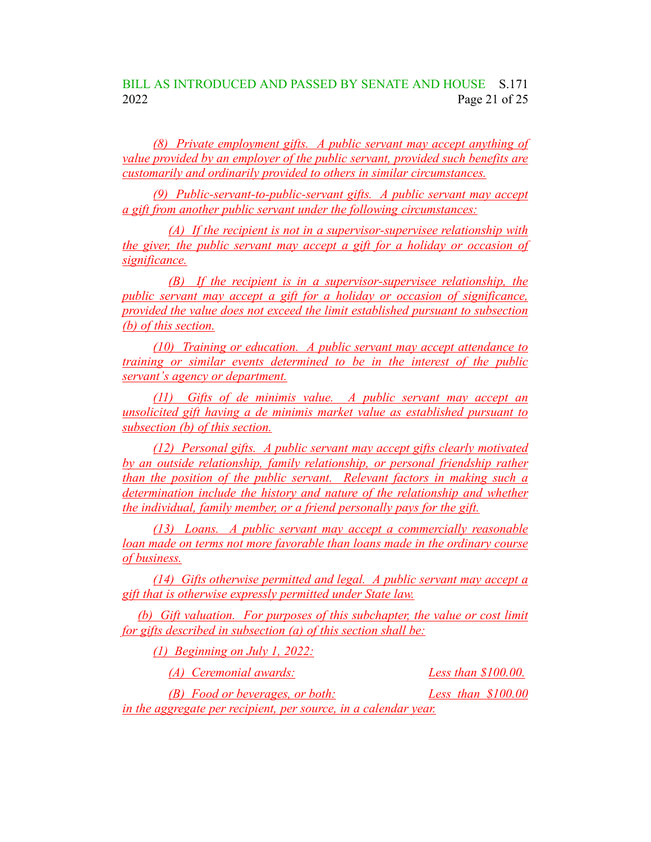### BILL AS INTRODUCED AND PASSED BY SENATE AND HOUSE S.171 2022 Page 21 of 25

*(8) Private employment gifts. A public servant may accept anything of value provided by an employer of the public servant, provided such benefits are customarily and ordinarily provided to others in similar circumstances.*

*(9) Public-servant-to-public-servant gifts. A public servant may accept a gift from another public servant under the following circumstances:*

*(A) If the recipient is not in a supervisor-supervisee relationship with the giver, the public servant may accept a gift for a holiday or occasion of significance.*

*(B) If the recipient is in a supervisor-supervisee relationship, the public servant may accept a gift for a holiday or occasion of significance, provided the value does not exceed the limit established pursuant to subsection (b) of this section.*

*(10) Training or education. A public servant may accept attendance to training or similar events determined to be in the interest of the public servant's agency or department.*

*(11) Gifts of de minimis value. A public servant may accept an unsolicited gift having a de minimis market value as established pursuant to subsection (b) of this section.*

*(12) Personal gifts. A public servant may accept gifts clearly motivated by an outside relationship, family relationship, or personal friendship rather than the position of the public servant. Relevant factors in making such a determination include the history and nature of the relationship and whether the individual, family member, or a friend personally pays for the gift.*

*(13) Loans. A public servant may accept a commercially reasonable loan made on terms not more favorable than loans made in the ordinary course of business.*

*(14) Gifts otherwise permitted and legal. A public servant may accept a gift that is otherwise expressly permitted under State law.*

*(b) Gift valuation. For purposes of this subchapter, the value or cost limit for gifts described in subsection (a) of this section shall be:*

*(1) Beginning on July 1, 2022:*

*(A) Ceremonial awards: Less than \$100.00.*

*(B) Food or beverages, or both: Less than \$100.00 in the aggregate per recipient, per source, in a calendar year.*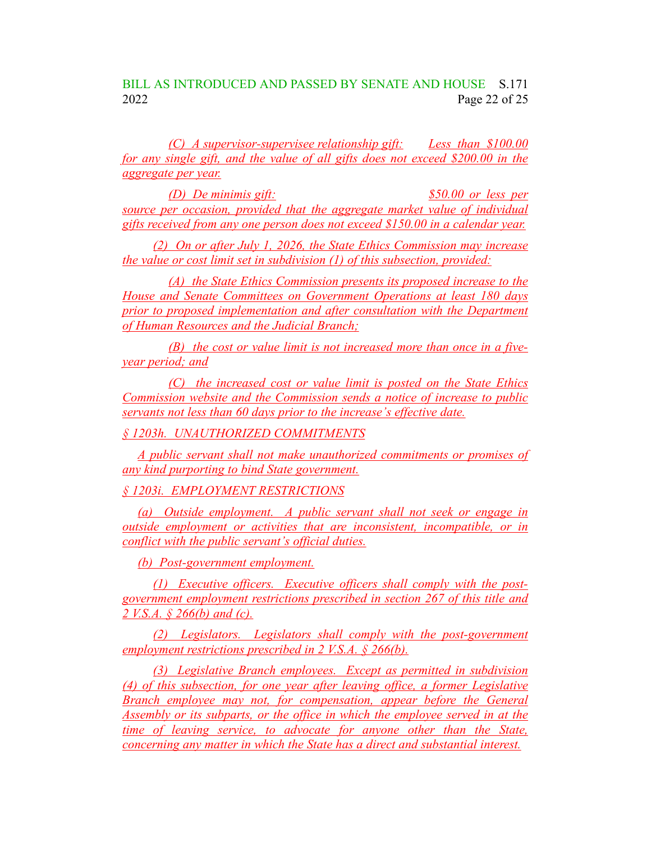BILL AS INTRODUCED AND PASSED BY SENATE AND HOUSE S.171 2022 Page 22 of 25

*(C) A supervisor-supervisee relationship gift: Less than \$100.00 for any single gift, and the value of all gifts does not exceed \$200.00 in the aggregate per year.*

*(D) De minimis gift: \$50.00 or less per source per occasion, provided that the aggregate market value of individual gifts received from any one person does not exceed \$150.00 in a calendar year.*

*(2) On or after July 1, 2026, the State Ethics Commission may increase the value or cost limit set in subdivision (1) of this subsection, provided:*

*(A) the State Ethics Commission presents its proposed increase to the House and Senate Committees on Government Operations at least 180 days prior to proposed implementation and after consultation with the Department of Human Resources and the Judicial Branch;*

*(B) the cost or value limit is not increased more than once in a fiveyear period; and*

*(C) the increased cost or value limit is posted on the State Ethics Commission website and the Commission sends a notice of increase to public servants not less than 60 days prior to the increase's effective date.*

*§ 1203h. UNAUTHORIZED COMMITMENTS*

*A public servant shall not make unauthorized commitments or promises of any kind purporting to bind State government.*

*§ 1203i. EMPLOYMENT RESTRICTIONS*

*(a) Outside employment. A public servant shall not seek or engage in outside employment or activities that are inconsistent, incompatible, or in conflict with the public servant's official duties.*

*(b) Post-government employment.*

*(1) Executive officers. Executive officers shall comply with the postgovernment employment restrictions prescribed in section 267 of this title and 2 V.S.A. § 266(b) and (c).*

*(2) Legislators. Legislators shall comply with the post-government employment restrictions prescribed in 2 V.S.A. § 266(b).*

*(3) Legislative Branch employees. Except as permitted in subdivision (4) of this subsection, for one year after leaving office, a former Legislative Branch employee may not, for compensation, appear before the General Assembly or its subparts, or the office in which the employee served in at the time of leaving service, to advocate for anyone other than the State, concerning any matter in which the State has a direct and substantial interest.*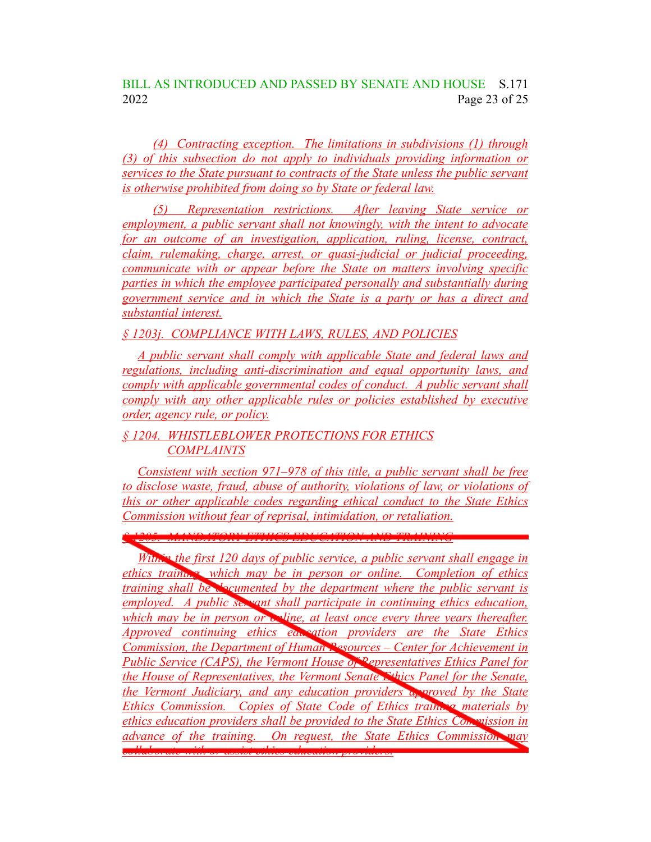### BILL AS INTRODUCED AND PASSED BY SENATE AND HOUSE S.171 2022 Page 23 of 25

*(4) Contracting exception. The limitations in subdivisions (1) through (3) of this subsection do not apply to individuals providing information or services to the State pursuant to contracts of the State unless the public servant is otherwise prohibited from doing so by State or federal law.*

*(5) Representation restrictions. After leaving State service or employment, a public servant shall not knowingly, with the intent to advocate for an outcome of an investigation, application, ruling, license, contract, claim, rulemaking, charge, arrest, or quasi-judicial or judicial proceeding, communicate with or appear before the State on matters involving specific parties in which the employee participated personally and substantially during government service and in which the State is a party or has a direct and substantial interest.*

*§ 1203j. COMPLIANCE WITH LAWS, RULES, AND POLICIES*

*A public servant shall comply with applicable State and federal laws and regulations, including anti-discrimination and equal opportunity laws, and comply with applicable governmental codes of conduct. A public servant shall comply with any other applicable rules or policies established by executive order, agency rule, or policy.*

### *§ 1204. WHISTLEBLOWER PROTECTIONS FOR ETHICS COMPLAINTS*

*Consistent with section 971–978 of this title, a public servant shall be free to disclose waste, fraud, abuse of authority, violations of law, or violations of this or other applicable codes regarding ethical conduct to the State Ethics Commission without fear of reprisal, intimidation, or retaliation.*

*§ 1205. MANDATORY ETHICS EDUCATION AND TRAINING*

*Within the first 120 days of public service, a public servant shall engage in ethics training, which may be in person or online. Completion of ethics training shall be documented by the department where the public servant is employed. A public servant shall participate in continuing ethics education, which may be in person or <i>online*, at least once every three years thereafter. *Approved continuing ethics education providers are the State Ethics Commission, the Department of Human Resources – Center for Achievement in Public Service (CAPS), the Vermont House of Representatives Ethics Panel for the House of Representatives, the Vermont Senate Ethics Panel for the Senate, the Vermont Judiciary, and any education providers approved by the State Ethics Commission. Copies of State Code of Ethics training materials by ethics education providers shall be provided to the State Ethics Commission in advance of the training. On request, the State Ethics Commission may*

*collaborate with or assist ethics education providers.*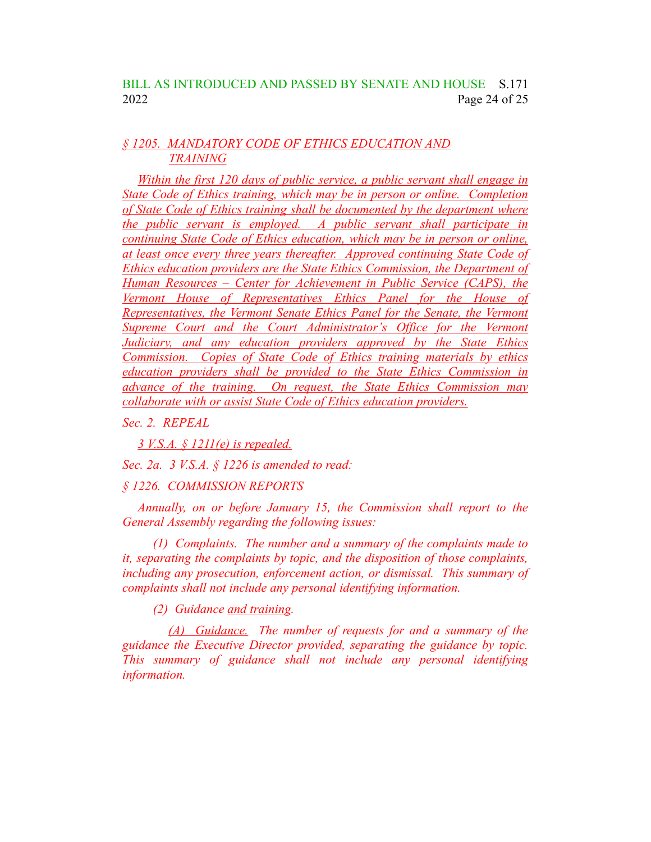### BILL AS INTRODUCED AND PASSED BY SENATE AND HOUSE S.171 2022 Page 24 of 25

### *§ 1205. MANDATORY CODE OF ETHICS EDUCATION AND TRAINING*

*Within the first 120 days of public service, a public servant shall engage in State Code of Ethics training, which may be in person or online. Completion of State Code of Ethics training shall be documented by the department where the public servant is employed. A public servant shall participate in continuing State Code of Ethics education, which may be in person or online, at least once every three years thereafter. Approved continuing State Code of Ethics education providers are the State Ethics Commission, the Department of Human Resources – Center for Achievement in Public Service (CAPS), the Vermont House of Representatives Ethics Panel for the House of Representatives, the Vermont Senate Ethics Panel for the Senate, the Vermont Supreme Court and the Court Administrator's Office for the Vermont Judiciary, and any education providers approved by the State Ethics Commission. Copies of State Code of Ethics training materials by ethics education providers shall be provided to the State Ethics Commission in advance of the training. On request, the State Ethics Commission may collaborate with or assist State Code of Ethics education providers.*

*Sec. 2. REPEAL*

*3 V.S.A. § 1211(e) is repealed.*

*Sec. 2a. 3 V.S.A. § 1226 is amended to read:*

*§ 1226. COMMISSION REPORTS*

*Annually, on or before January 15, the Commission shall report to the General Assembly regarding the following issues:*

*(1) Complaints. The number and a summary of the complaints made to it, separating the complaints by topic, and the disposition of those complaints, including any prosecution, enforcement action, or dismissal. This summary of complaints shall not include any personal identifying information.*

*(2) Guidance and training.*

*(A) Guidance. The number of requests for and a summary of the guidance the Executive Director provided, separating the guidance by topic. This summary of guidance shall not include any personal identifying information.*